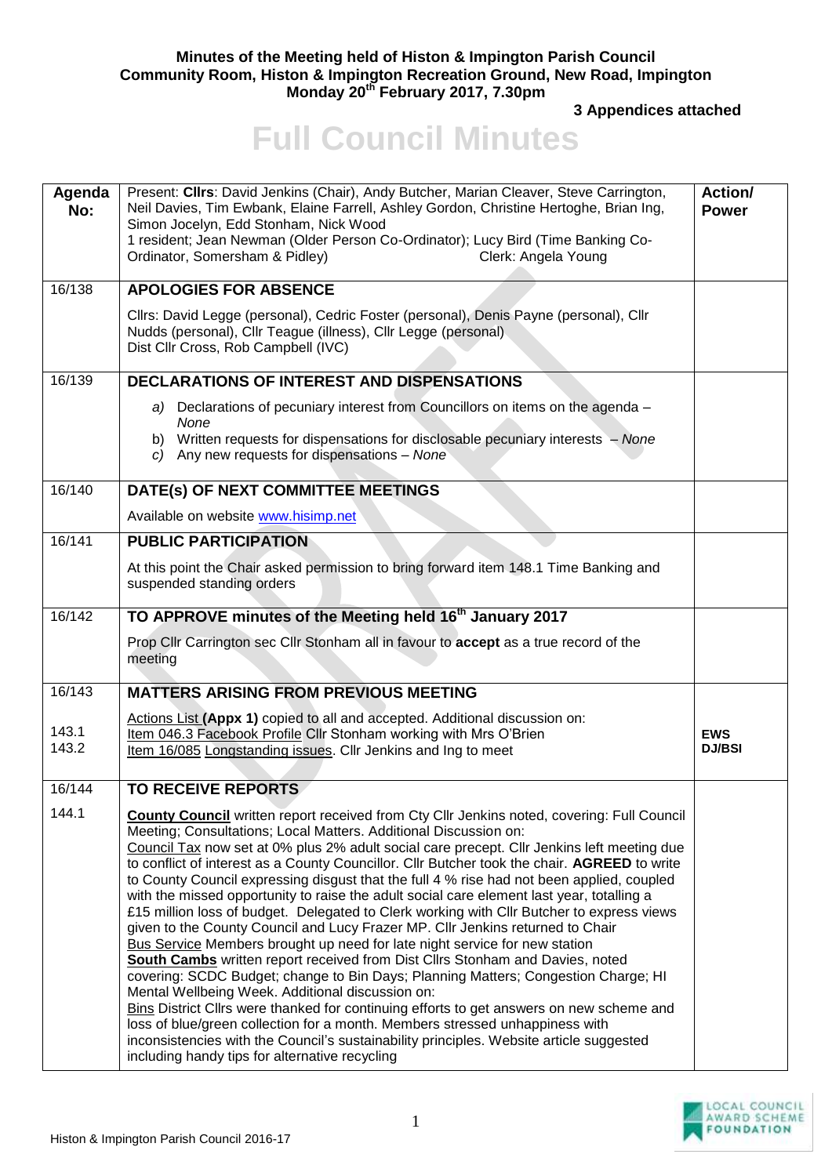## **Minutes of the Meeting held of Histon & Impington Parish Council Community Room, Histon & Impington Recreation Ground, New Road, Impington Monday 20th February 2017, 7.30pm**

**3 Appendices attached** 

## **Full Council Minutes**

| Agenda<br>No:  | Present: Clirs: David Jenkins (Chair), Andy Butcher, Marian Cleaver, Steve Carrington,<br>Neil Davies, Tim Ewbank, Elaine Farrell, Ashley Gordon, Christine Hertoghe, Brian Ing,<br>Simon Jocelyn, Edd Stonham, Nick Wood<br>1 resident; Jean Newman (Older Person Co-Ordinator); Lucy Bird (Time Banking Co-<br>Ordinator, Somersham & Pidley)<br>Clerk: Angela Young                                                                                                                                                                                                                                                                                                                                                                                                                                                                                                                                                                                                                                                                                                                                                                                                                                                                                                                                                                                                         | Action/<br><b>Power</b>     |
|----------------|--------------------------------------------------------------------------------------------------------------------------------------------------------------------------------------------------------------------------------------------------------------------------------------------------------------------------------------------------------------------------------------------------------------------------------------------------------------------------------------------------------------------------------------------------------------------------------------------------------------------------------------------------------------------------------------------------------------------------------------------------------------------------------------------------------------------------------------------------------------------------------------------------------------------------------------------------------------------------------------------------------------------------------------------------------------------------------------------------------------------------------------------------------------------------------------------------------------------------------------------------------------------------------------------------------------------------------------------------------------------------------|-----------------------------|
| 16/138         | <b>APOLOGIES FOR ABSENCE</b>                                                                                                                                                                                                                                                                                                                                                                                                                                                                                                                                                                                                                                                                                                                                                                                                                                                                                                                                                                                                                                                                                                                                                                                                                                                                                                                                                   |                             |
|                | Cllrs: David Legge (personal), Cedric Foster (personal), Denis Payne (personal), Cllr<br>Nudds (personal), Cllr Teague (illness), Cllr Legge (personal)<br>Dist Cllr Cross, Rob Campbell (IVC)                                                                                                                                                                                                                                                                                                                                                                                                                                                                                                                                                                                                                                                                                                                                                                                                                                                                                                                                                                                                                                                                                                                                                                                 |                             |
| 16/139         | <b>DECLARATIONS OF INTEREST AND DISPENSATIONS</b>                                                                                                                                                                                                                                                                                                                                                                                                                                                                                                                                                                                                                                                                                                                                                                                                                                                                                                                                                                                                                                                                                                                                                                                                                                                                                                                              |                             |
|                | a) Declarations of pecuniary interest from Councillors on items on the agenda -<br>None<br>b) Written requests for dispensations for disclosable pecuniary interests - None<br>c) Any new requests for dispensations $-$ None                                                                                                                                                                                                                                                                                                                                                                                                                                                                                                                                                                                                                                                                                                                                                                                                                                                                                                                                                                                                                                                                                                                                                  |                             |
|                |                                                                                                                                                                                                                                                                                                                                                                                                                                                                                                                                                                                                                                                                                                                                                                                                                                                                                                                                                                                                                                                                                                                                                                                                                                                                                                                                                                                |                             |
| 16/140         | DATE(s) OF NEXT COMMITTEE MEETINGS                                                                                                                                                                                                                                                                                                                                                                                                                                                                                                                                                                                                                                                                                                                                                                                                                                                                                                                                                                                                                                                                                                                                                                                                                                                                                                                                             |                             |
|                | Available on website www.hisimp.net                                                                                                                                                                                                                                                                                                                                                                                                                                                                                                                                                                                                                                                                                                                                                                                                                                                                                                                                                                                                                                                                                                                                                                                                                                                                                                                                            |                             |
| 16/141         | <b>PUBLIC PARTICIPATION</b>                                                                                                                                                                                                                                                                                                                                                                                                                                                                                                                                                                                                                                                                                                                                                                                                                                                                                                                                                                                                                                                                                                                                                                                                                                                                                                                                                    |                             |
|                | At this point the Chair asked permission to bring forward item 148.1 Time Banking and<br>suspended standing orders                                                                                                                                                                                                                                                                                                                                                                                                                                                                                                                                                                                                                                                                                                                                                                                                                                                                                                                                                                                                                                                                                                                                                                                                                                                             |                             |
| 16/142         | TO APPROVE minutes of the Meeting held 16 <sup>th</sup> January 2017                                                                                                                                                                                                                                                                                                                                                                                                                                                                                                                                                                                                                                                                                                                                                                                                                                                                                                                                                                                                                                                                                                                                                                                                                                                                                                           |                             |
|                | Prop Cllr Carrington sec Cllr Stonham all in favour to accept as a true record of the<br>meeting                                                                                                                                                                                                                                                                                                                                                                                                                                                                                                                                                                                                                                                                                                                                                                                                                                                                                                                                                                                                                                                                                                                                                                                                                                                                               |                             |
| 16/143         | <b>MATTERS ARISING FROM PREVIOUS MEETING</b>                                                                                                                                                                                                                                                                                                                                                                                                                                                                                                                                                                                                                                                                                                                                                                                                                                                                                                                                                                                                                                                                                                                                                                                                                                                                                                                                   |                             |
| 143.1<br>143.2 | Actions List (Appx 1) copied to all and accepted. Additional discussion on:<br>Item 046.3 Facebook Profile Cllr Stonham working with Mrs O'Brien<br>Item 16/085 Longstanding issues. Cllr Jenkins and Ing to meet                                                                                                                                                                                                                                                                                                                                                                                                                                                                                                                                                                                                                                                                                                                                                                                                                                                                                                                                                                                                                                                                                                                                                              | <b>EWS</b><br><b>DJ/BSI</b> |
| 16/144         | TO RECEIVE REPORTS                                                                                                                                                                                                                                                                                                                                                                                                                                                                                                                                                                                                                                                                                                                                                                                                                                                                                                                                                                                                                                                                                                                                                                                                                                                                                                                                                             |                             |
| 144.1          | County Council written report received from Cty Cllr Jenkins noted, covering: Full Council<br>Meeting; Consultations; Local Matters. Additional Discussion on:<br>Council Tax now set at 0% plus 2% adult social care precept. Cllr Jenkins left meeting due<br>to conflict of interest as a County Councillor. Cllr Butcher took the chair. AGREED to write<br>to County Council expressing disgust that the full 4 % rise had not been applied, coupled<br>with the missed opportunity to raise the adult social care element last year, totalling a<br>£15 million loss of budget. Delegated to Clerk working with Cllr Butcher to express views<br>given to the County Council and Lucy Frazer MP. Cllr Jenkins returned to Chair<br>Bus Service Members brought up need for late night service for new station<br><b>South Cambs</b> written report received from Dist Cllrs Stonham and Davies, noted<br>covering: SCDC Budget; change to Bin Days; Planning Matters; Congestion Charge; HI<br>Mental Wellbeing Week. Additional discussion on:<br>Bins District Cllrs were thanked for continuing efforts to get answers on new scheme and<br>loss of blue/green collection for a month. Members stressed unhappiness with<br>inconsistencies with the Council's sustainability principles. Website article suggested<br>including handy tips for alternative recycling |                             |

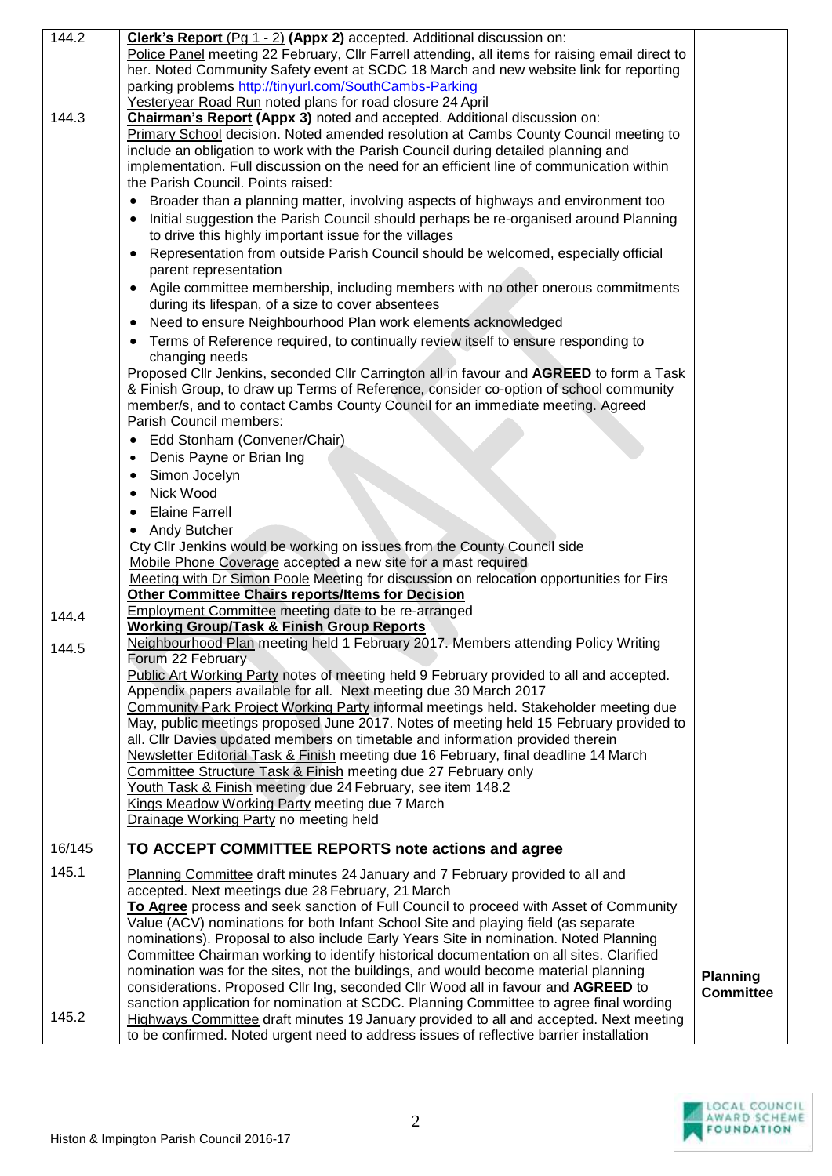| 144.2  | Clerk's Report (Pg 1 - 2) (Appx 2) accepted. Additional discussion on:                                                                                                            |                  |
|--------|-----------------------------------------------------------------------------------------------------------------------------------------------------------------------------------|------------------|
|        | Police Panel meeting 22 February, Cllr Farrell attending, all items for raising email direct to                                                                                   |                  |
|        | her. Noted Community Safety event at SCDC 18 March and new website link for reporting                                                                                             |                  |
|        | parking problems http://tinyurl.com/SouthCambs-Parking                                                                                                                            |                  |
|        | Yesteryear Road Run noted plans for road closure 24 April                                                                                                                         |                  |
| 144.3  | Chairman's Report (Appx 3) noted and accepted. Additional discussion on:                                                                                                          |                  |
|        | Primary School decision. Noted amended resolution at Cambs County Council meeting to                                                                                              |                  |
|        | include an obligation to work with the Parish Council during detailed planning and                                                                                                |                  |
|        | implementation. Full discussion on the need for an efficient line of communication within                                                                                         |                  |
|        | the Parish Council. Points raised:                                                                                                                                                |                  |
|        |                                                                                                                                                                                   |                  |
|        | Broader than a planning matter, involving aspects of highways and environment too                                                                                                 |                  |
|        | Initial suggestion the Parish Council should perhaps be re-organised around Planning<br>٠                                                                                         |                  |
|        | to drive this highly important issue for the villages                                                                                                                             |                  |
|        | Representation from outside Parish Council should be welcomed, especially official<br>٠                                                                                           |                  |
|        | parent representation                                                                                                                                                             |                  |
|        | Agile committee membership, including members with no other onerous commitments<br>$\bullet$                                                                                      |                  |
|        | during its lifespan, of a size to cover absentees                                                                                                                                 |                  |
|        |                                                                                                                                                                                   |                  |
|        | Need to ensure Neighbourhood Plan work elements acknowledged<br>$\bullet$                                                                                                         |                  |
|        | Terms of Reference required, to continually review itself to ensure responding to<br>$\bullet$                                                                                    |                  |
|        | changing needs                                                                                                                                                                    |                  |
|        | Proposed Cllr Jenkins, seconded Cllr Carrington all in favour and AGREED to form a Task                                                                                           |                  |
|        | & Finish Group, to draw up Terms of Reference, consider co-option of school community                                                                                             |                  |
|        | member/s, and to contact Cambs County Council for an immediate meeting. Agreed                                                                                                    |                  |
|        | Parish Council members:                                                                                                                                                           |                  |
|        | Edd Stonham (Convener/Chair)<br>$\bullet$                                                                                                                                         |                  |
|        | Denis Payne or Brian Ing<br>$\bullet$                                                                                                                                             |                  |
|        |                                                                                                                                                                                   |                  |
|        | Simon Jocelyn<br>$\bullet$                                                                                                                                                        |                  |
|        | Nick Wood<br>$\bullet$                                                                                                                                                            |                  |
|        | <b>Elaine Farrell</b>                                                                                                                                                             |                  |
|        | Andy Butcher<br>٠                                                                                                                                                                 |                  |
|        | Cty Cllr Jenkins would be working on issues from the County Council side                                                                                                          |                  |
|        | Mobile Phone Coverage accepted a new site for a mast required                                                                                                                     |                  |
|        | Meeting with Dr Simon Poole Meeting for discussion on relocation opportunities for Firs                                                                                           |                  |
|        | <b>Other Committee Chairs reports/Items for Decision</b>                                                                                                                          |                  |
|        | <b>Employment Committee meeting date to be re-arranged</b>                                                                                                                        |                  |
| 144.4  | <b>Working Group/Task &amp; Finish Group Reports</b>                                                                                                                              |                  |
|        | Neighbourhood Plan meeting held 1 February 2017. Members attending Policy Writing                                                                                                 |                  |
| 144.5  | Forum 22 February                                                                                                                                                                 |                  |
|        | Public Art Working Party notes of meeting held 9 February provided to all and accepted.                                                                                           |                  |
|        | Appendix papers available for all. Next meeting due 30 March 2017                                                                                                                 |                  |
|        |                                                                                                                                                                                   |                  |
|        | Community Park Project Working Party informal meetings held. Stakeholder meeting due                                                                                              |                  |
|        | May, public meetings proposed June 2017. Notes of meeting held 15 February provided to                                                                                            |                  |
|        | all. Cllr Davies updated members on timetable and information provided therein                                                                                                    |                  |
|        | Newsletter Editorial Task & Finish meeting due 16 February, final deadline 14 March                                                                                               |                  |
|        | Committee Structure Task & Finish meeting due 27 February only                                                                                                                    |                  |
|        | Youth Task & Finish meeting due 24 February, see item 148.2                                                                                                                       |                  |
|        | Kings Meadow Working Party meeting due 7 March                                                                                                                                    |                  |
|        | Drainage Working Party no meeting held                                                                                                                                            |                  |
| 16/145 | TO ACCEPT COMMITTEE REPORTS note actions and agree                                                                                                                                |                  |
|        |                                                                                                                                                                                   |                  |
| 145.1  | Planning Committee draft minutes 24 January and 7 February provided to all and                                                                                                    |                  |
|        | accepted. Next meetings due 28 February, 21 March                                                                                                                                 |                  |
|        | To Agree process and seek sanction of Full Council to proceed with Asset of Community                                                                                             |                  |
|        | Value (ACV) nominations for both Infant School Site and playing field (as separate                                                                                                |                  |
|        | nominations). Proposal to also include Early Years Site in nomination. Noted Planning                                                                                             |                  |
|        | Committee Chairman working to identify historical documentation on all sites. Clarified                                                                                           |                  |
|        | nomination was for the sites, not the buildings, and would become material planning                                                                                               |                  |
|        | considerations. Proposed Cllr Ing, seconded Cllr Wood all in favour and AGREED to                                                                                                 | <b>Planning</b>  |
|        | sanction application for nomination at SCDC. Planning Committee to agree final wording                                                                                            | <b>Committee</b> |
| 145.2  |                                                                                                                                                                                   |                  |
|        |                                                                                                                                                                                   |                  |
|        | Highways Committee draft minutes 19 January provided to all and accepted. Next meeting<br>to be confirmed. Noted urgent need to address issues of reflective barrier installation |                  |

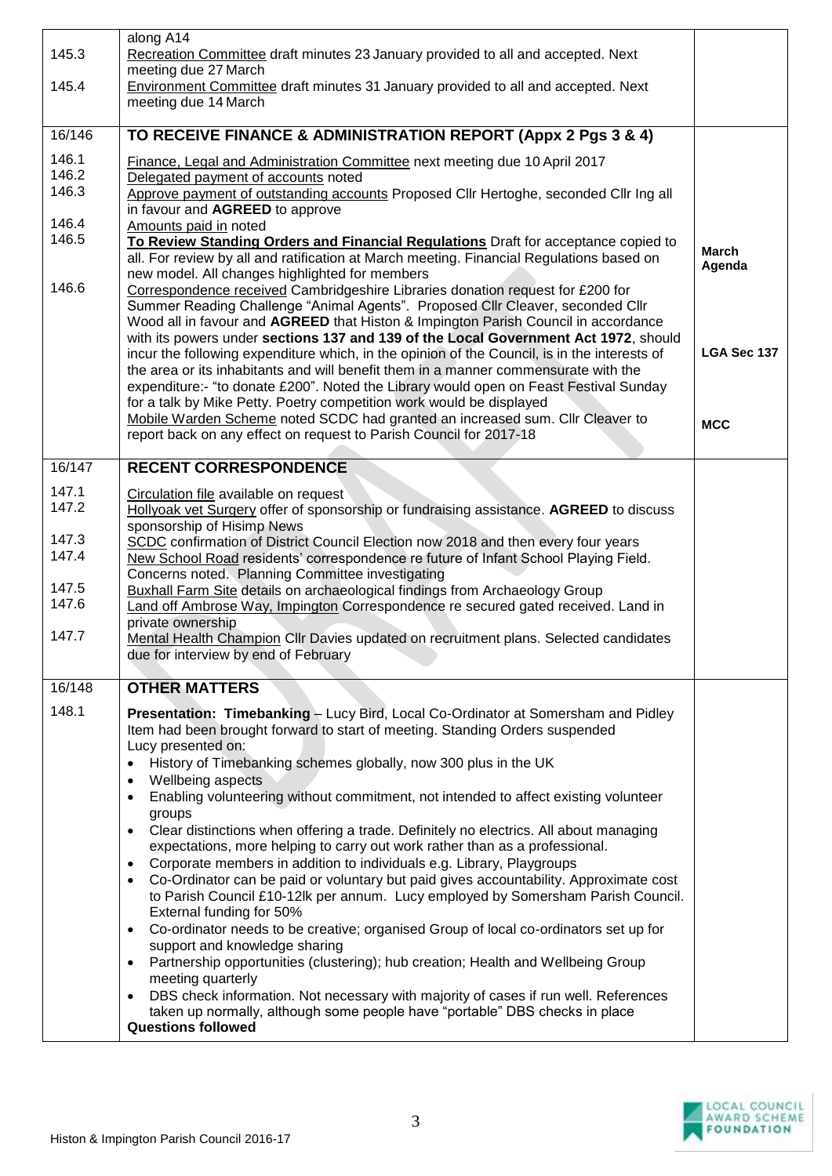|                | along A14                                                                                                                                                                    |                        |
|----------------|------------------------------------------------------------------------------------------------------------------------------------------------------------------------------|------------------------|
| 145.3          | Recreation Committee draft minutes 23 January provided to all and accepted. Next                                                                                             |                        |
| 145.4          | meeting due 27 March<br>Environment Committee draft minutes 31 January provided to all and accepted. Next                                                                    |                        |
|                | meeting due 14 March                                                                                                                                                         |                        |
| 16/146         | TO RECEIVE FINANCE & ADMINISTRATION REPORT (Appx 2 Pgs 3 & 4)                                                                                                                |                        |
| 146.1          | Finance, Legal and Administration Committee next meeting due 10 April 2017                                                                                                   |                        |
| 146.2          | Delegated payment of accounts noted                                                                                                                                          |                        |
| 146.3          | Approve payment of outstanding accounts Proposed Cllr Hertoghe, seconded Cllr Ing all                                                                                        |                        |
| 146.4          | in favour and AGREED to approve<br>Amounts paid in noted                                                                                                                     |                        |
| 146.5          | To Review Standing Orders and Financial Regulations Draft for acceptance copied to                                                                                           |                        |
|                | all. For review by all and ratification at March meeting. Financial Regulations based on                                                                                     | <b>March</b><br>Agenda |
| 146.6          | new model. All changes highlighted for members<br>Correspondence received Cambridgeshire Libraries donation request for £200 for                                             |                        |
|                | Summer Reading Challenge "Animal Agents". Proposed Cllr Cleaver, seconded Cllr                                                                                               |                        |
|                | Wood all in favour and AGREED that Histon & Impington Parish Council in accordance                                                                                           |                        |
|                | with its powers under sections 137 and 139 of the Local Government Act 1972, should                                                                                          |                        |
|                | incur the following expenditure which, in the opinion of the Council, is in the interests of                                                                                 | LGA Sec 137            |
|                | the area or its inhabitants and will benefit them in a manner commensurate with the<br>expenditure:- "to donate £200". Noted the Library would open on Feast Festival Sunday |                        |
|                | for a talk by Mike Petty. Poetry competition work would be displayed                                                                                                         |                        |
|                | Mobile Warden Scheme noted SCDC had granted an increased sum. Cllr Cleaver to                                                                                                | <b>MCC</b>             |
|                | report back on any effect on request to Parish Council for 2017-18                                                                                                           |                        |
| 16/147         |                                                                                                                                                                              |                        |
|                | <b>RECENT CORRESPONDENCE</b>                                                                                                                                                 |                        |
| 147.1<br>147.2 | Circulation file available on request                                                                                                                                        |                        |
|                | Hollyoak vet Surgery offer of sponsorship or fundraising assistance. AGREED to discuss<br>sponsorship of Hisimp News                                                         |                        |
| 147.3          | SCDC confirmation of District Council Election now 2018 and then every four years                                                                                            |                        |
| 147.4          | New School Road residents' correspondence re future of Infant School Playing Field.                                                                                          |                        |
|                | Concerns noted. Planning Committee investigating                                                                                                                             |                        |
| 147.5<br>147.6 | <b>Buxhall Farm Site details on archaeological findings from Archaeology Group</b><br>Land off Ambrose Way, Impington Correspondence re secured gated received. Land in      |                        |
|                | private ownership                                                                                                                                                            |                        |
| 147.7          | Mental Health Champion Cllr Davies updated on recruitment plans. Selected candidates                                                                                         |                        |
|                | due for interview by end of February                                                                                                                                         |                        |
| 16/148         | <b>OTHER MATTERS</b>                                                                                                                                                         |                        |
| 148.1          | Presentation: Timebanking - Lucy Bird, Local Co-Ordinator at Somersham and Pidley                                                                                            |                        |
|                | Item had been brought forward to start of meeting. Standing Orders suspended                                                                                                 |                        |
|                | Lucy presented on:                                                                                                                                                           |                        |
|                | History of Timebanking schemes globally, now 300 plus in the UK                                                                                                              |                        |
|                | Wellbeing aspects                                                                                                                                                            |                        |
|                | Enabling volunteering without commitment, not intended to affect existing volunteer<br>groups                                                                                |                        |
|                | Clear distinctions when offering a trade. Definitely no electrics. All about managing                                                                                        |                        |
|                | expectations, more helping to carry out work rather than as a professional.                                                                                                  |                        |
|                | Corporate members in addition to individuals e.g. Library, Playgroups                                                                                                        |                        |
|                | Co-Ordinator can be paid or voluntary but paid gives accountability. Approximate cost                                                                                        |                        |
|                | to Parish Council £10-12lk per annum. Lucy employed by Somersham Parish Council.<br>External funding for 50%                                                                 |                        |
|                | Co-ordinator needs to be creative; organised Group of local co-ordinators set up for<br>$\bullet$                                                                            |                        |
|                | support and knowledge sharing                                                                                                                                                |                        |
|                | Partnership opportunities (clustering); hub creation; Health and Wellbeing Group                                                                                             |                        |
|                | meeting quarterly                                                                                                                                                            |                        |
|                | DBS check information. Not necessary with majority of cases if run well. References<br>taken up normally, although some people have "portable" DBS checks in place           |                        |
|                | <b>Questions followed</b>                                                                                                                                                    |                        |
|                |                                                                                                                                                                              |                        |